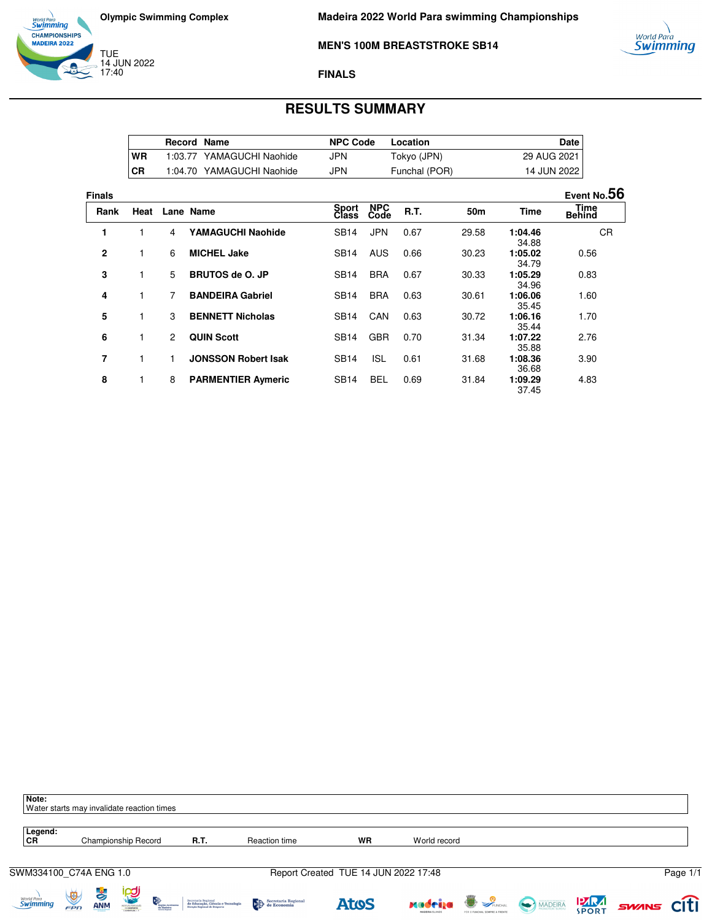

TUE 14 JUN 2022 17:40

13



## **MEN'S 100M BREASTSTROKE SB14**

### **FINALS**

# **RESULTS SUMMARY**

|           | Record Name |                           | <b>NPC Code</b> | Location      | Date l        |
|-----------|-------------|---------------------------|-----------------|---------------|---------------|
| <b>WR</b> |             | 1:03.77 YAMAGUCHI Naohide | JPN             | Tokyo (JPN)   | 29 AUG 2021 I |
| CR        |             | 1:04.70 YAMAGUCHI Naohide | JPN             | Funchal (POR) | 14 JUN 2022   |

| <b>Finals</b> |      |   |                            |                |                    |             |                 |                  | Event No.56                  |
|---------------|------|---|----------------------------|----------------|--------------------|-------------|-----------------|------------------|------------------------------|
| Rank          | Heat |   | Lane Name                  | Sport<br>Class | <b>NPC</b><br>Code | <b>R.T.</b> | 50 <sub>m</sub> | <b>Time</b>      | <b>Time</b><br><b>Behind</b> |
| 1             |      | 4 | <b>YAMAGUCHI Naohide</b>   | <b>SB14</b>    | <b>JPN</b>         | 0.67        | 29.58           | 1:04.46<br>34.88 | <b>CR</b>                    |
| $\mathbf{2}$  | 1    | 6 | <b>MICHEL Jake</b>         | <b>SB14</b>    | <b>AUS</b>         | 0.66        | 30.23           | 1:05.02<br>34.79 | 0.56                         |
| 3             |      | 5 | <b>BRUTOS de O. JP</b>     | <b>SB14</b>    | <b>BRA</b>         | 0.67        | 30.33           | 1:05.29<br>34.96 | 0.83                         |
| 4             | 1    | 7 | <b>BANDEIRA Gabriel</b>    | <b>SB14</b>    | <b>BRA</b>         | 0.63        | 30.61           | 1:06.06<br>35.45 | 1.60                         |
| 5             | 1    | 3 | <b>BENNETT Nicholas</b>    | <b>SB14</b>    | CAN                | 0.63        | 30.72           | 1:06.16<br>35.44 | 1.70                         |
| 6             | 1    | 2 | <b>QUIN Scott</b>          | <b>SB14</b>    | <b>GBR</b>         | 0.70        | 31.34           | 1:07.22<br>35.88 | 2.76                         |
| 7             |      |   | <b>JONSSON Robert Isak</b> | <b>SB14</b>    | <b>ISL</b>         | 0.61        | 31.68           | 1:08.36<br>36.68 | 3.90                         |
| 8             | 1    | 8 | <b>PARMENTIER Aymeric</b>  | <b>SB14</b>    | <b>BEL</b>         | 0.69        | 31.84           | 1:09.29<br>37.45 | 4.83                         |

| Note:<br>Water starts may invalidate reaction times |                         |                                    |                     |                                 |                                                                                          |                     |                                      |                |                                                    |               |                   |          |
|-----------------------------------------------------|-------------------------|------------------------------------|---------------------|---------------------------------|------------------------------------------------------------------------------------------|---------------------|--------------------------------------|----------------|----------------------------------------------------|---------------|-------------------|----------|
| Legend:<br><b>CR</b>                                |                         |                                    | Championship Record |                                 | R.T.                                                                                     | Reaction time       | WR                                   | World record   |                                                    |               |                   |          |
| SWM334100_C74A ENG 1.0                              |                         |                                    |                     |                                 |                                                                                          |                     | Report Created TUE 14 JUN 2022 17:48 |                |                                                    |               |                   | Page 1/1 |
| <sub>World Para</sub><br><b>Swimming</b>            | $\overline{\mathbb{Q}}$ | $\frac{1}{\sqrt{2}}$<br><b>ANM</b> | <b>ica</b><br>E     | Progião Autónano.<br>da Madeira | Secretaria Regional<br>de Educação, Ciência e Tecnologia<br>Direção Regional de Desporto | Secretaria Regional | <b>AtoS</b>                          | <u>xadriza</u> | <b>D</b> SFUNCHAL<br>POR O FUNCHAL SEMPRE A FRENTE | MADEIRA SPORT | <b>SWINS CITI</b> |          |